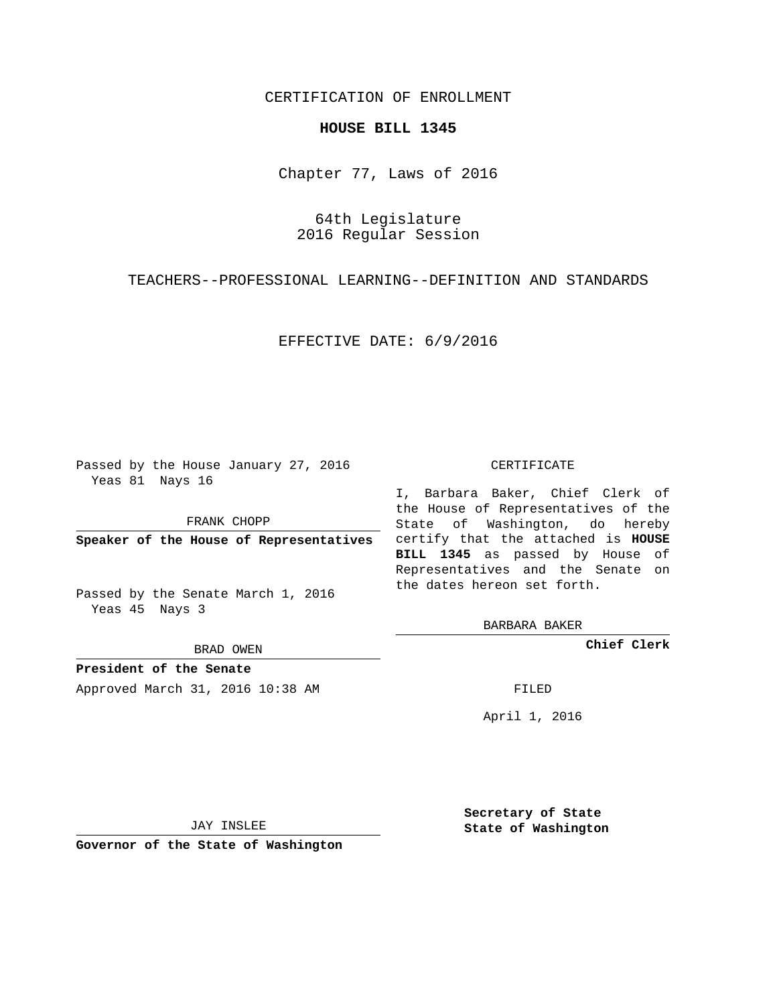## CERTIFICATION OF ENROLLMENT

## **HOUSE BILL 1345**

Chapter 77, Laws of 2016

64th Legislature 2016 Regular Session

TEACHERS--PROFESSIONAL LEARNING--DEFINITION AND STANDARDS

EFFECTIVE DATE: 6/9/2016

Passed by the House January 27, 2016 Yeas 81 Nays 16

FRANK CHOPP

Passed by the Senate March 1, 2016 Yeas 45 Nays 3

BRAD OWEN

**President of the Senate**

Approved March 31, 2016 10:38 AM FILED

## CERTIFICATE

**Speaker of the House of Representatives** certify that the attached is **HOUSE** I, Barbara Baker, Chief Clerk of the House of Representatives of the State of Washington, do hereby **BILL 1345** as passed by House of Representatives and the Senate on the dates hereon set forth.

BARBARA BAKER

**Chief Clerk**

April 1, 2016

JAY INSLEE

**Governor of the State of Washington**

**Secretary of State State of Washington**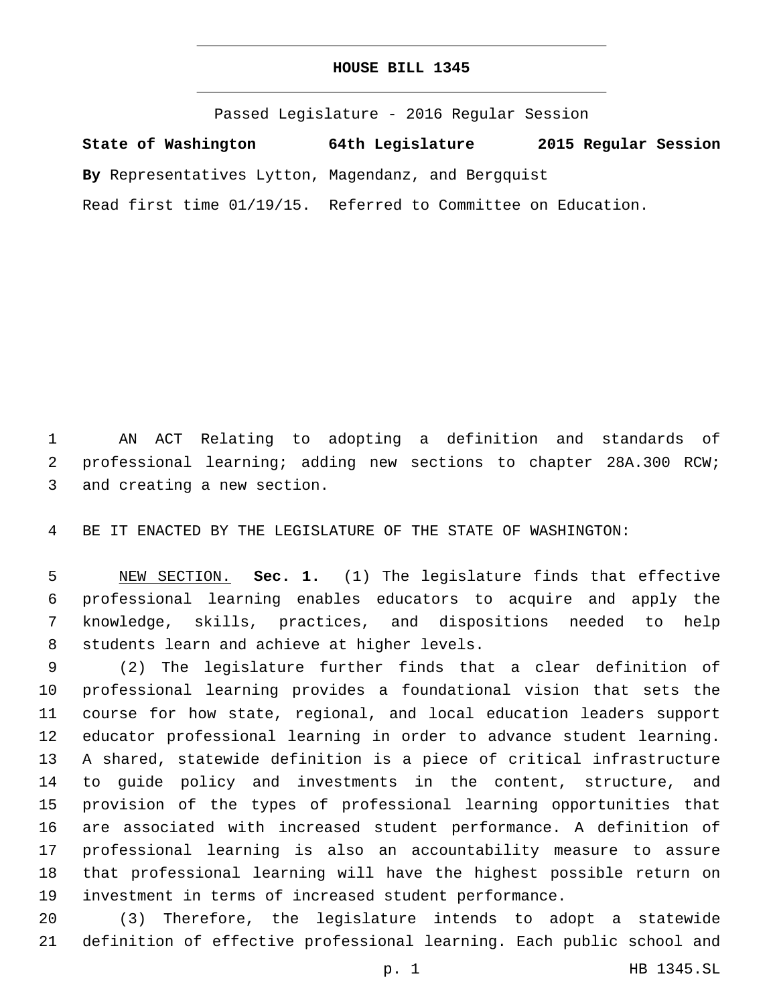## **HOUSE BILL 1345**

Passed Legislature - 2016 Regular Session **State of Washington 64th Legislature 2015 Regular Session By** Representatives Lytton, Magendanz, and Bergquist Read first time 01/19/15. Referred to Committee on Education.

 AN ACT Relating to adopting a definition and standards of professional learning; adding new sections to chapter 28A.300 RCW; 3 and creating a new section.

BE IT ENACTED BY THE LEGISLATURE OF THE STATE OF WASHINGTON:

 NEW SECTION. **Sec. 1.** (1) The legislature finds that effective professional learning enables educators to acquire and apply the knowledge, skills, practices, and dispositions needed to help students learn and achieve at higher levels.

 (2) The legislature further finds that a clear definition of professional learning provides a foundational vision that sets the course for how state, regional, and local education leaders support educator professional learning in order to advance student learning. A shared, statewide definition is a piece of critical infrastructure to guide policy and investments in the content, structure, and provision of the types of professional learning opportunities that are associated with increased student performance. A definition of professional learning is also an accountability measure to assure that professional learning will have the highest possible return on investment in terms of increased student performance.

 (3) Therefore, the legislature intends to adopt a statewide definition of effective professional learning. Each public school and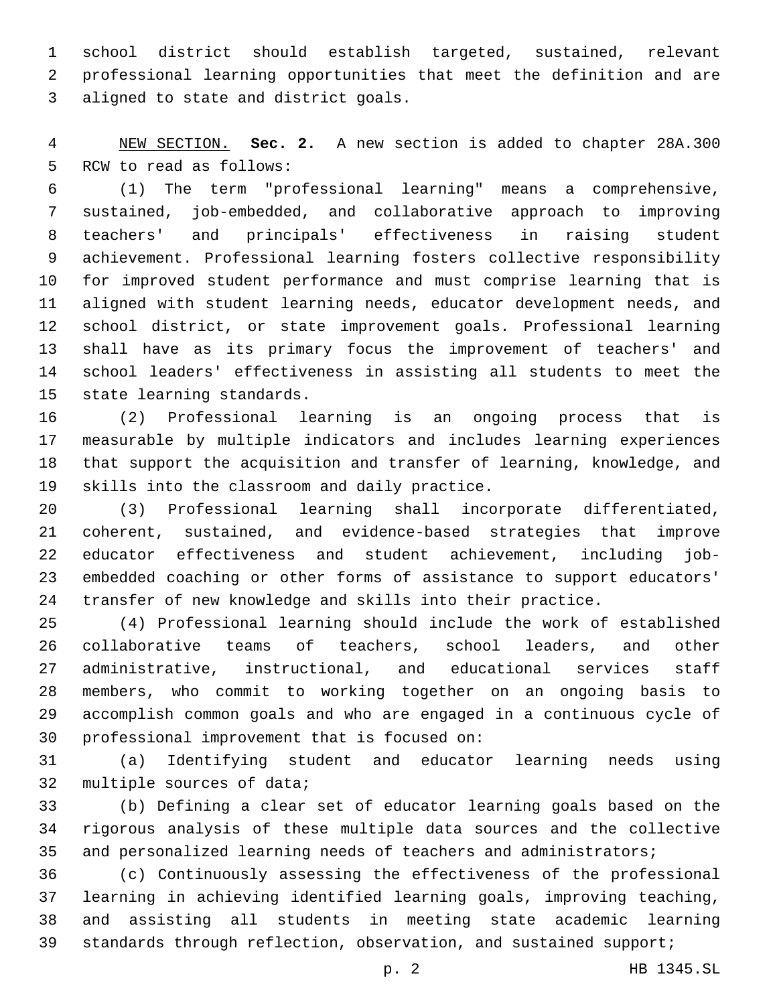school district should establish targeted, sustained, relevant professional learning opportunities that meet the definition and are 3 aligned to state and district goals.

 NEW SECTION. **Sec. 2.** A new section is added to chapter 28A.300 5 RCW to read as follows:

 (1) The term "professional learning" means a comprehensive, sustained, job-embedded, and collaborative approach to improving teachers' and principals' effectiveness in raising student achievement. Professional learning fosters collective responsibility for improved student performance and must comprise learning that is aligned with student learning needs, educator development needs, and school district, or state improvement goals. Professional learning shall have as its primary focus the improvement of teachers' and school leaders' effectiveness in assisting all students to meet the 15 state learning standards.

 (2) Professional learning is an ongoing process that is measurable by multiple indicators and includes learning experiences that support the acquisition and transfer of learning, knowledge, and 19 skills into the classroom and daily practice.

 (3) Professional learning shall incorporate differentiated, coherent, sustained, and evidence-based strategies that improve educator effectiveness and student achievement, including job- embedded coaching or other forms of assistance to support educators' transfer of new knowledge and skills into their practice.

 (4) Professional learning should include the work of established collaborative teams of teachers, school leaders, and other administrative, instructional, and educational services staff members, who commit to working together on an ongoing basis to accomplish common goals and who are engaged in a continuous cycle of 30 professional improvement that is focused on:

 (a) Identifying student and educator learning needs using 32 multiple sources of data;

 (b) Defining a clear set of educator learning goals based on the rigorous analysis of these multiple data sources and the collective 35 and personalized learning needs of teachers and administrators;

 (c) Continuously assessing the effectiveness of the professional learning in achieving identified learning goals, improving teaching, and assisting all students in meeting state academic learning 39 standards through reflection, observation, and sustained support;

p. 2 HB 1345.SL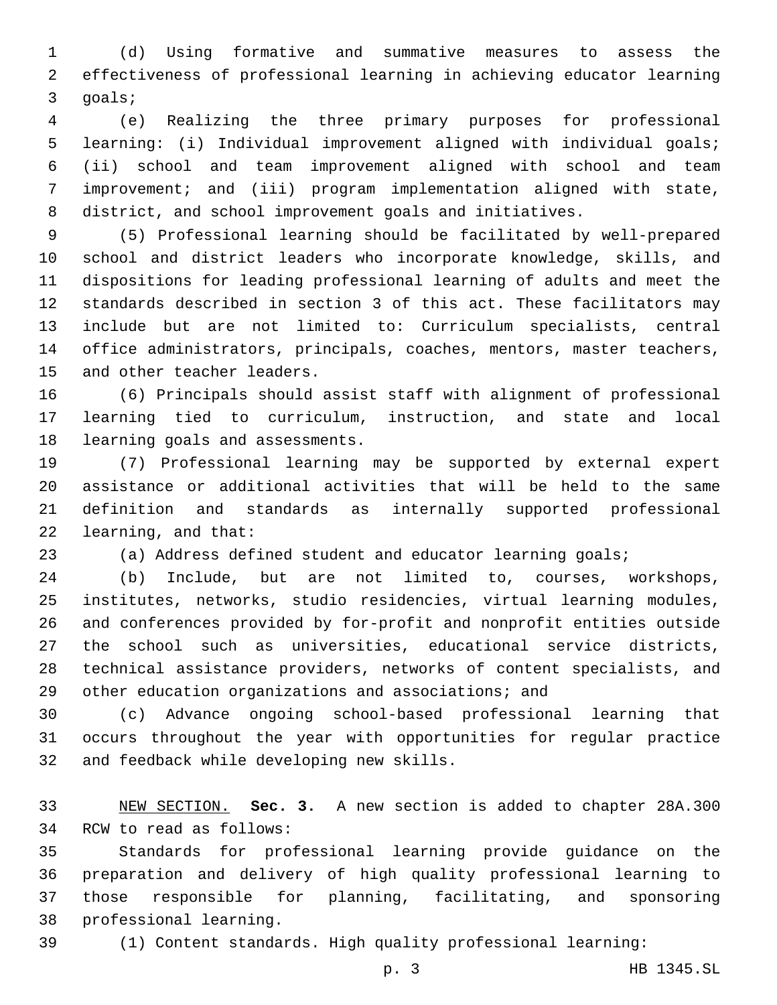(d) Using formative and summative measures to assess the effectiveness of professional learning in achieving educator learning 3 goals;

 (e) Realizing the three primary purposes for professional learning: (i) Individual improvement aligned with individual goals; (ii) school and team improvement aligned with school and team improvement; and (iii) program implementation aligned with state, district, and school improvement goals and initiatives.

 (5) Professional learning should be facilitated by well-prepared school and district leaders who incorporate knowledge, skills, and dispositions for leading professional learning of adults and meet the standards described in section 3 of this act. These facilitators may include but are not limited to: Curriculum specialists, central office administrators, principals, coaches, mentors, master teachers, 15 and other teacher leaders.

 (6) Principals should assist staff with alignment of professional learning tied to curriculum, instruction, and state and local 18 learning goals and assessments.

 (7) Professional learning may be supported by external expert assistance or additional activities that will be held to the same definition and standards as internally supported professional 22 learning, and that:

(a) Address defined student and educator learning goals;

 (b) Include, but are not limited to, courses, workshops, institutes, networks, studio residencies, virtual learning modules, and conferences provided by for-profit and nonprofit entities outside the school such as universities, educational service districts, technical assistance providers, networks of content specialists, and other education organizations and associations; and

 (c) Advance ongoing school-based professional learning that occurs throughout the year with opportunities for regular practice 32 and feedback while developing new skills.

 NEW SECTION. **Sec. 3.** A new section is added to chapter 28A.300 34 RCW to read as follows:

 Standards for professional learning provide guidance on the preparation and delivery of high quality professional learning to those responsible for planning, facilitating, and sponsoring 38 professional learning.

(1) Content standards. High quality professional learning: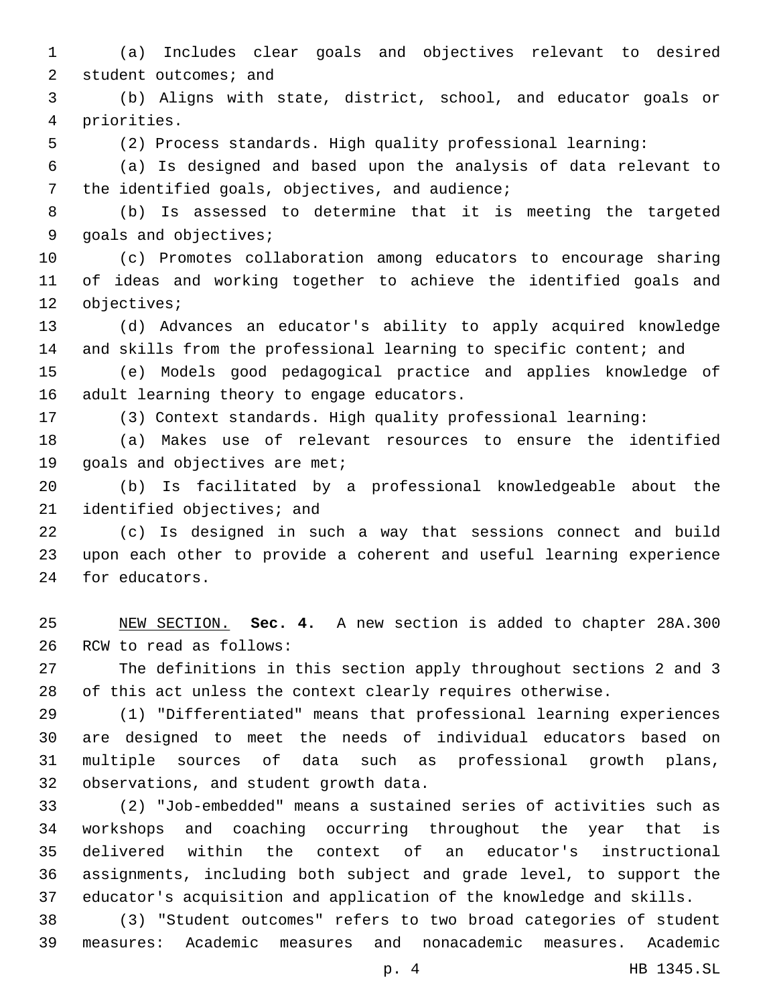(a) Includes clear goals and objectives relevant to desired 2 student outcomes; and

 (b) Aligns with state, district, school, and educator goals or priorities.4

(2) Process standards. High quality professional learning:

 (a) Is designed and based upon the analysis of data relevant to 7 the identified goals, objectives, and audience;

 (b) Is assessed to determine that it is meeting the targeted 9 goals and objectives;

 (c) Promotes collaboration among educators to encourage sharing of ideas and working together to achieve the identified goals and 12 objectives;

 (d) Advances an educator's ability to apply acquired knowledge and skills from the professional learning to specific content; and

 (e) Models good pedagogical practice and applies knowledge of 16 adult learning theory to engage educators.

(3) Context standards. High quality professional learning:

 (a) Makes use of relevant resources to ensure the identified 19 goals and objectives are met;

 (b) Is facilitated by a professional knowledgeable about the 21 identified objectives; and

 (c) Is designed in such a way that sessions connect and build upon each other to provide a coherent and useful learning experience 24 for educators.

 NEW SECTION. **Sec. 4.** A new section is added to chapter 28A.300 26 RCW to read as follows:

 The definitions in this section apply throughout sections 2 and 3 of this act unless the context clearly requires otherwise.

 (1) "Differentiated" means that professional learning experiences are designed to meet the needs of individual educators based on multiple sources of data such as professional growth plans, 32 observations, and student growth data.

 (2) "Job-embedded" means a sustained series of activities such as workshops and coaching occurring throughout the year that is delivered within the context of an educator's instructional assignments, including both subject and grade level, to support the educator's acquisition and application of the knowledge and skills.

 (3) "Student outcomes" refers to two broad categories of student measures: Academic measures and nonacademic measures. Academic